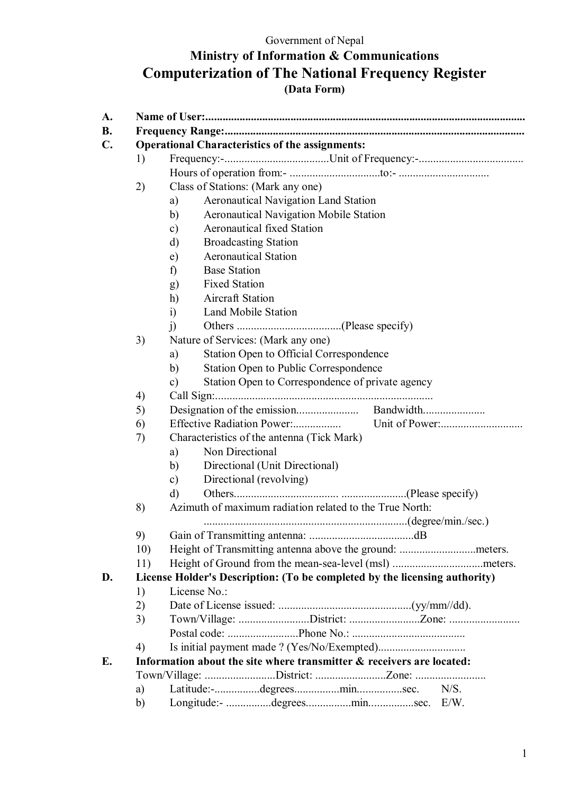## **Ministry of Information & Communications Computerization of The National Frequency Register (Data Form)**

|     | <b>Operational Characteristics of the assignments:</b>                     |
|-----|----------------------------------------------------------------------------|
| 1)  |                                                                            |
|     |                                                                            |
| 2)  | Class of Stations: (Mark any one)                                          |
|     | <b>Aeronautical Navigation Land Station</b><br>a)                          |
|     | <b>Aeronautical Navigation Mobile Station</b><br>b)                        |
|     | <b>Aeronautical fixed Station</b><br>$\mathbf{c})$                         |
|     | <b>Broadcasting Station</b><br>d)                                          |
|     | <b>Aeronautical Station</b><br>e)                                          |
|     | <b>Base Station</b><br>f)                                                  |
|     | <b>Fixed Station</b><br>g)                                                 |
|     | <b>Aircraft Station</b><br>h)                                              |
|     | <b>Land Mobile Station</b><br>i)                                           |
|     | j)                                                                         |
| 3)  | Nature of Services: (Mark any one)                                         |
|     | <b>Station Open to Official Correspondence</b><br>a)                       |
|     | <b>Station Open to Public Correspondence</b><br>b)                         |
|     | Station Open to Correspondence of private agency<br>$\mathbf{c})$          |
| 4)  |                                                                            |
| 5)  |                                                                            |
| 6)  |                                                                            |
| 7)  | Characteristics of the antenna (Tick Mark)                                 |
|     | Non Directional<br>a)                                                      |
|     | Directional (Unit Directional)<br>b)                                       |
|     | Directional (revolving)<br>$\mathbf{c})$                                   |
|     | $\rm d$                                                                    |
| 8)  | Azimuth of maximum radiation related to the True North:                    |
|     |                                                                            |
| 9)  |                                                                            |
| 10) |                                                                            |
| 11) |                                                                            |
|     | License Holder's Description: (To be completed by the licensing authority) |
| 1)  | License No.:                                                               |
| 2)  |                                                                            |
| 3)  | Town/Village: District: Zone:                                              |
|     |                                                                            |
| 4)  |                                                                            |
|     | Information about the site where transmitter & receivers are located:      |
|     | Town/Village: District: Zone:                                              |
| a)  | N/S.                                                                       |
| b)  | Longitude:- degreesminsec. E/W.                                            |